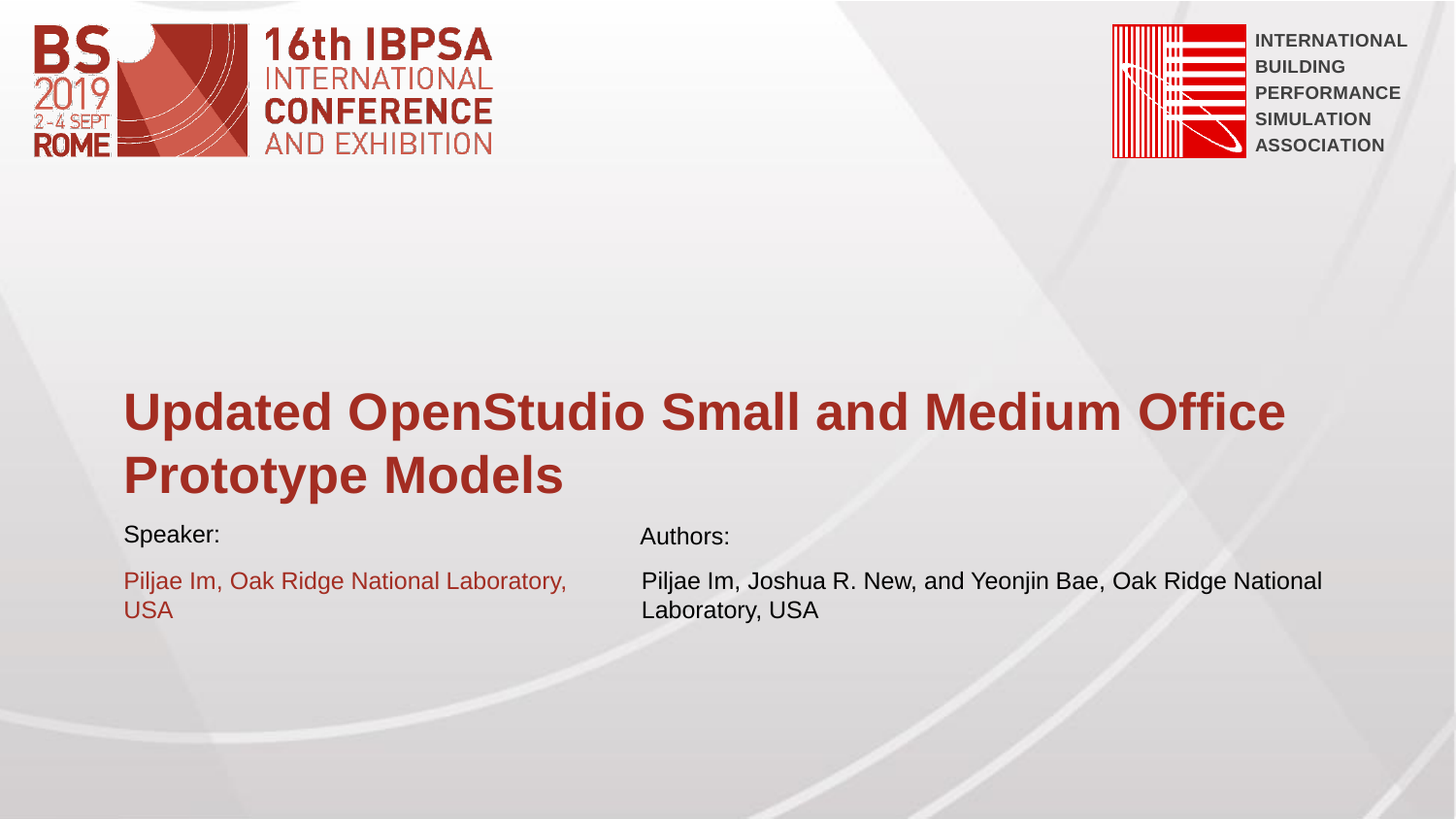



# **Updated OpenStudio Small and Medium Office Prototype Models**

Speaker: Authors: Authors: Authors: Authors: Authors: Authors: Authors: Authors: Authors: Authors: Authors: Authors: Authors: Authors: Authors: Authors: Authors: Authors: Authors: Authors: Authors: Authors: Authors: Author

Piljae Im, Oak Ridge National Laboratory, USA

Piljae Im, Joshua R. New, and Yeonjin Bae, Oak Ridge National Laboratory, USA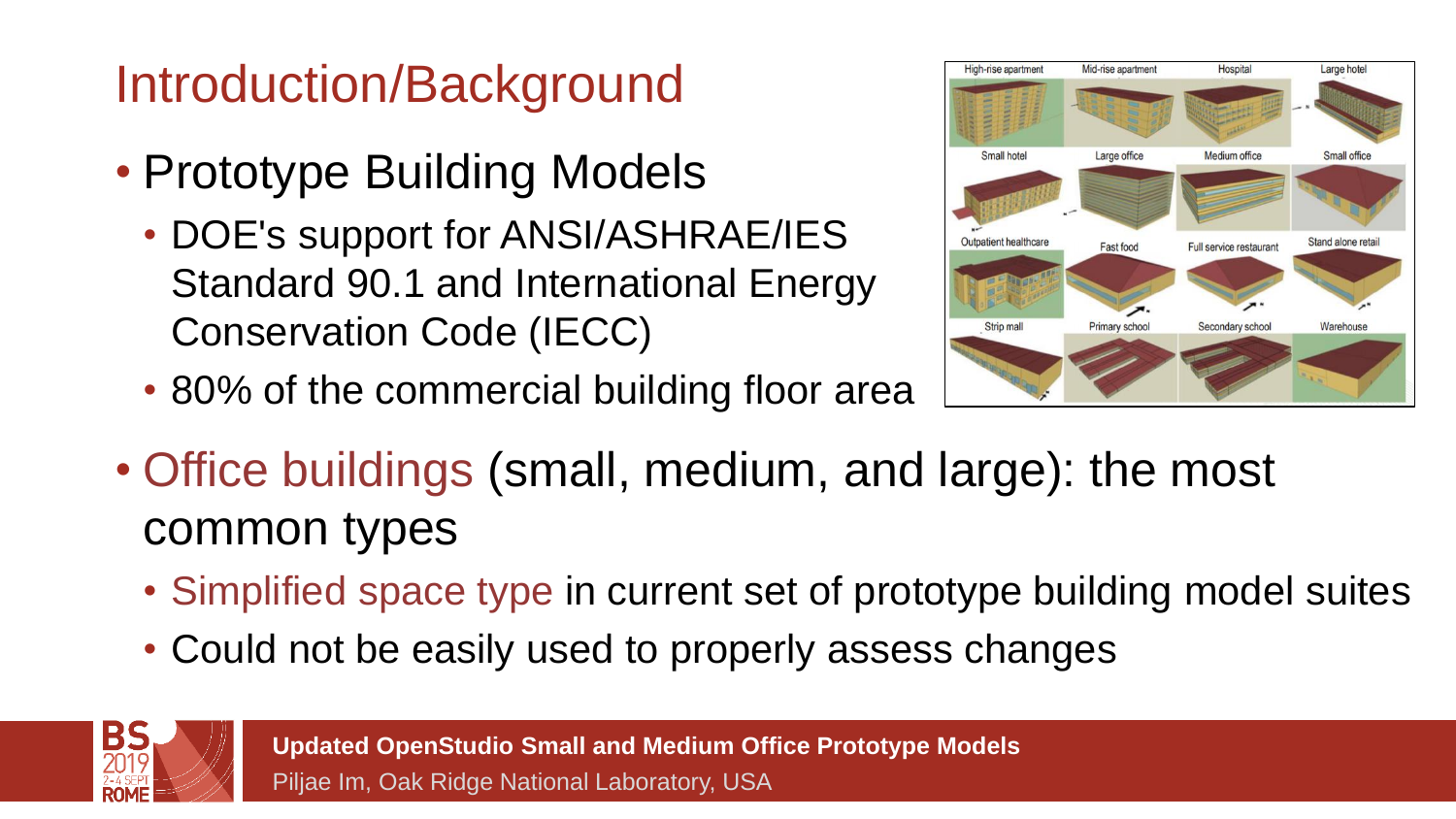## Introduction/Background

- Prototype Building Models
	- DOE's support for ANSI/ASHRAE/IES Standard 90.1 and International Energy Conservation Code (IECC)
	- 80% of the commercial building floor area



- Office buildings (small, medium, and large): the most common types
	- Simplified space type in current set of prototype building model suites
	- Could not be easily used to properly assess changes

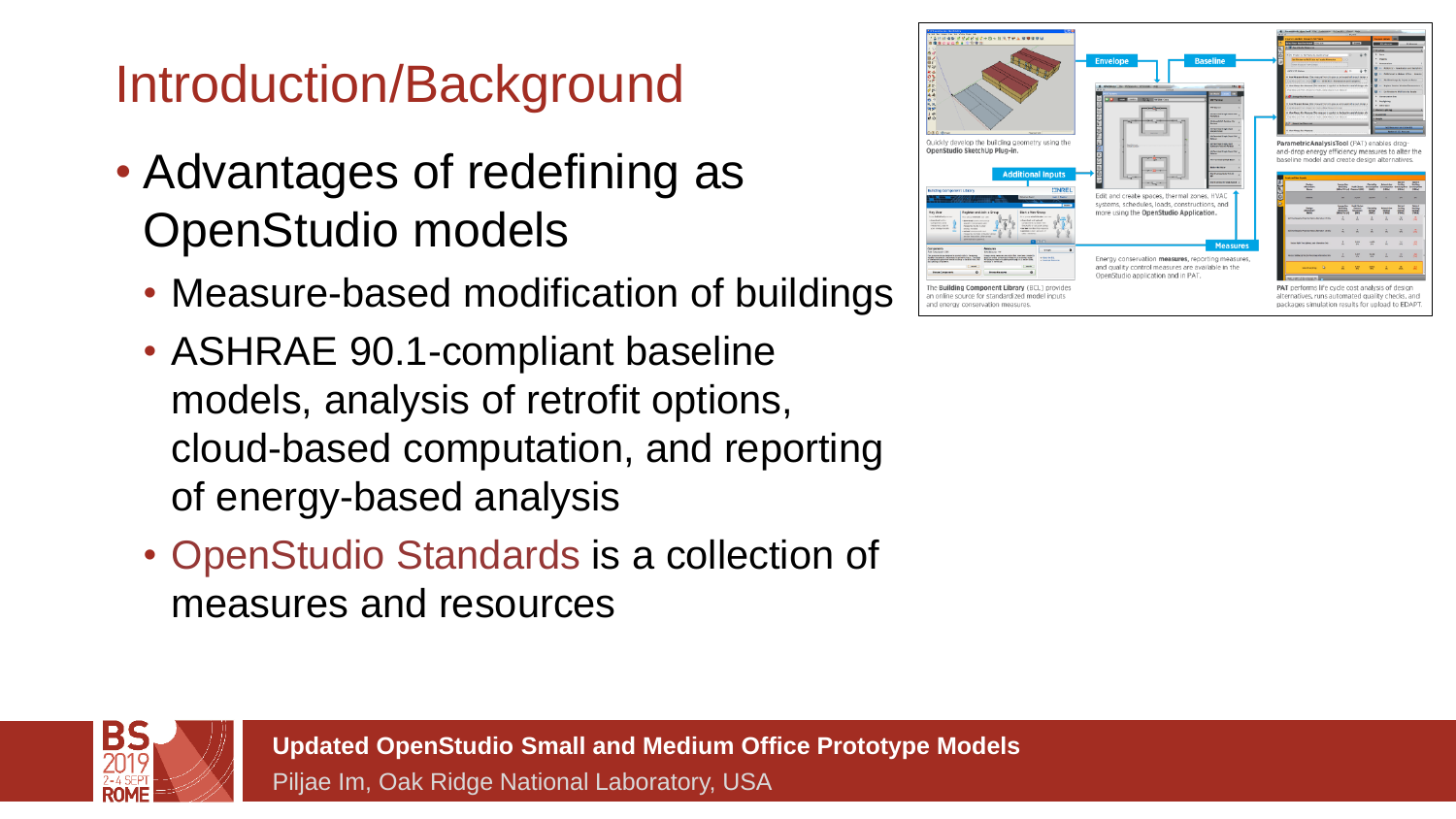### Introduction/Background

- Advantages of redefining as OpenStudio models
	- Measure-based modification of buildings
	- ASHRAE 90.1-compliant baseline models, analysis of retrofit options, cloud-based computation, and reporting of energy-based analysis
	- OpenStudio Standards is a collection of measures and resources



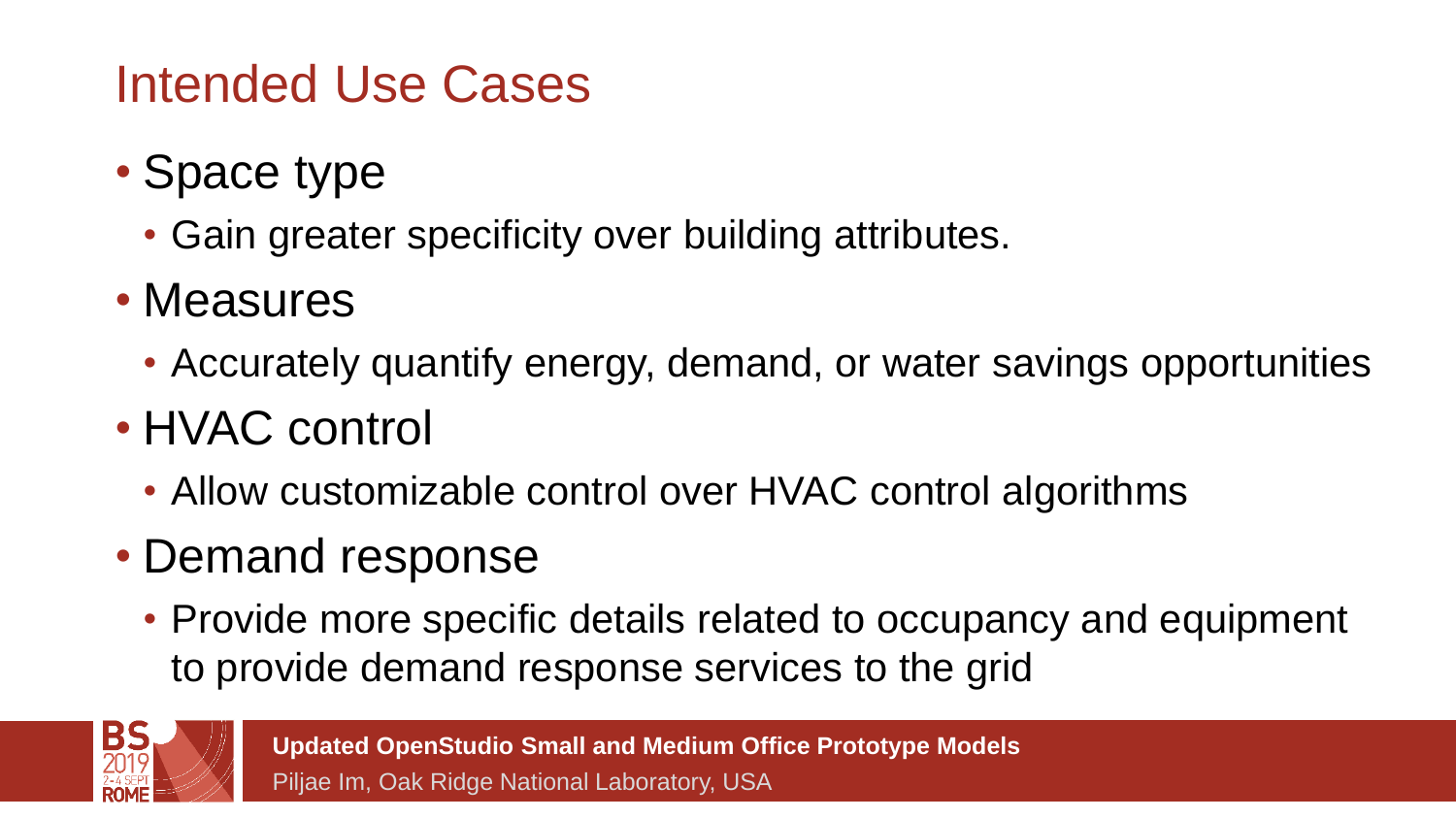### Intended Use Cases

- Space type
	- Gain greater specificity over building attributes.
- Measures
	- Accurately quantify energy, demand, or water savings opportunities
- HVAC control
	- Allow customizable control over HVAC control algorithms
- Demand response
	- Provide more specific details related to occupancy and equipment to provide demand response services to the grid

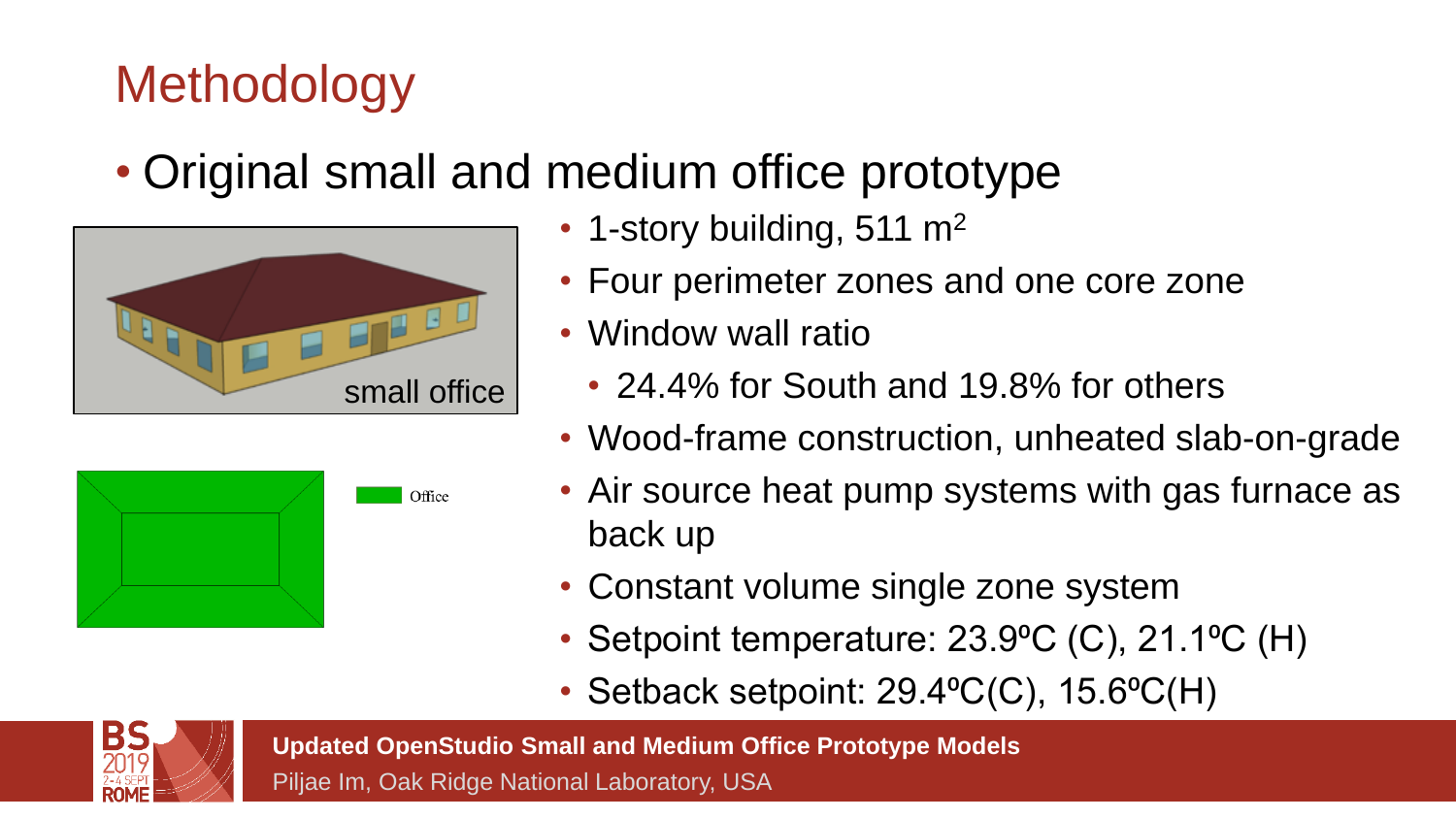#### • Original small and medium office prototype



- 1-story building, 511  $m<sup>2</sup>$
- Four perimeter zones and one core zone
- Window wall ratio
	- 24.4% for South and 19.8% for others
- Wood-frame construction, unheated slab-on-grade
- Air source heat pump systems with gas furnace as back up
- Constant volume single zone system
- Setpoint temperature: 23.9<sup>o</sup>C (C), 21.1<sup>o</sup>C (H)
- Setback setpoint: 29.4°C(C), 15.6°C(H)



**Updated OpenStudio Small and Medium Office Prototype Models**

Piljae Im, Oak Ridge National Laboratory, USA

Office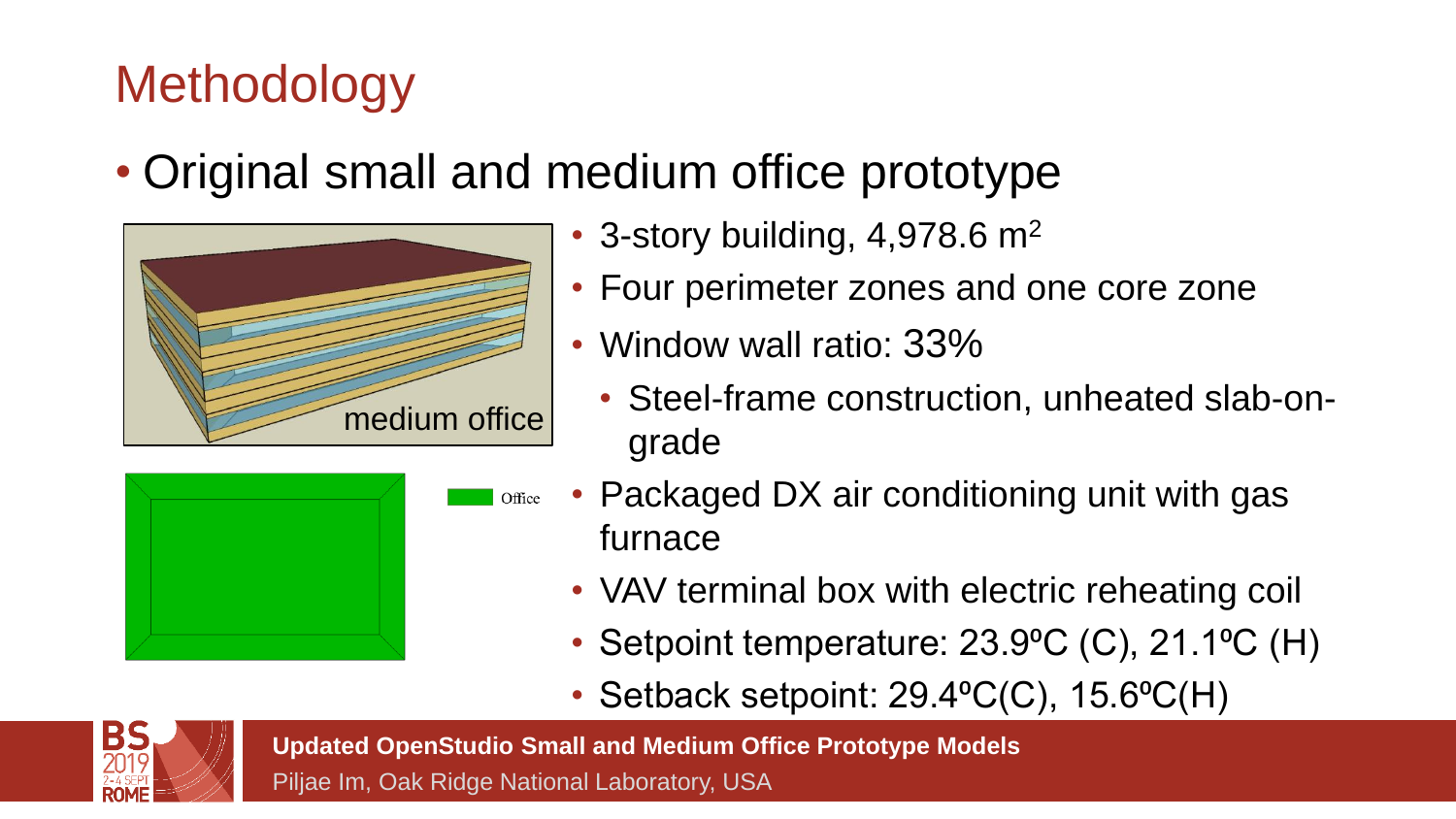• Original small and medium office prototype



- 3-story building,  $4,978.6$  m<sup>2</sup>
- Four perimeter zones and one core zone
- Window wall ratio: 33%
	- Steel-frame construction, unheated slab-ongrade



- Packaged DX air conditioning unit with gas Office furnace
	- VAV terminal box with electric reheating coil
	- Setpoint temperature: 23.9<sup>o</sup>C (C), 21.1<sup>o</sup>C (H)
	- Setback setpoint:  $29.4$ <sup>o</sup>C(C),  $15.6$ <sup>o</sup>C(H)



**Updated OpenStudio Small and Medium Office Prototype Models**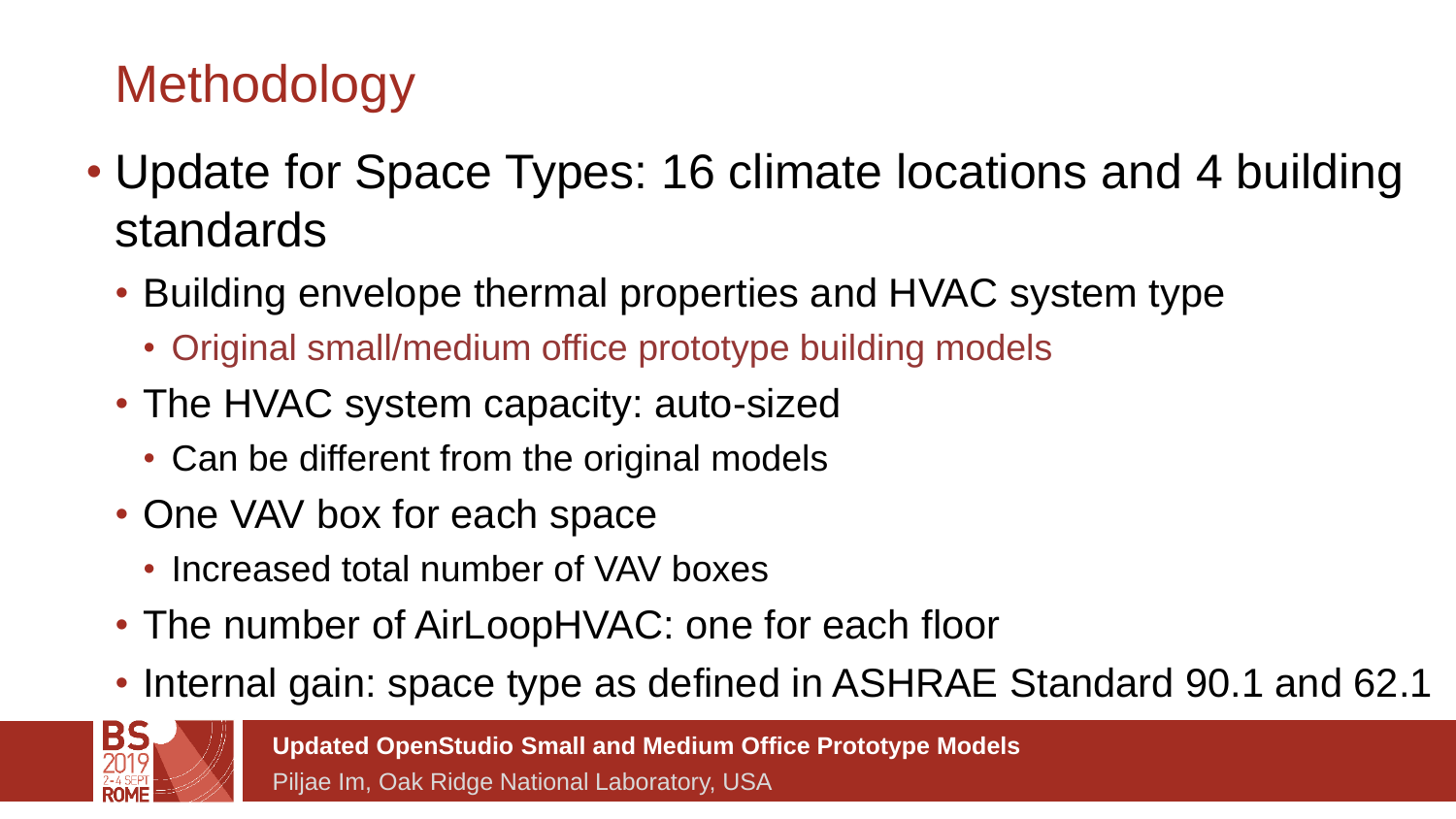- Update for Space Types: 16 climate locations and 4 building standards
	- Building envelope thermal properties and HVAC system type
		- Original small/medium office prototype building models
	- The HVAC system capacity: auto-sized
		- Can be different from the original models
	- One VAV box for each space
		- Increased total number of VAV boxes
	- The number of AirLoopHVAC: one for each floor
	- Internal gain: space type as defined in ASHRAE Standard 90.1 and 62.1

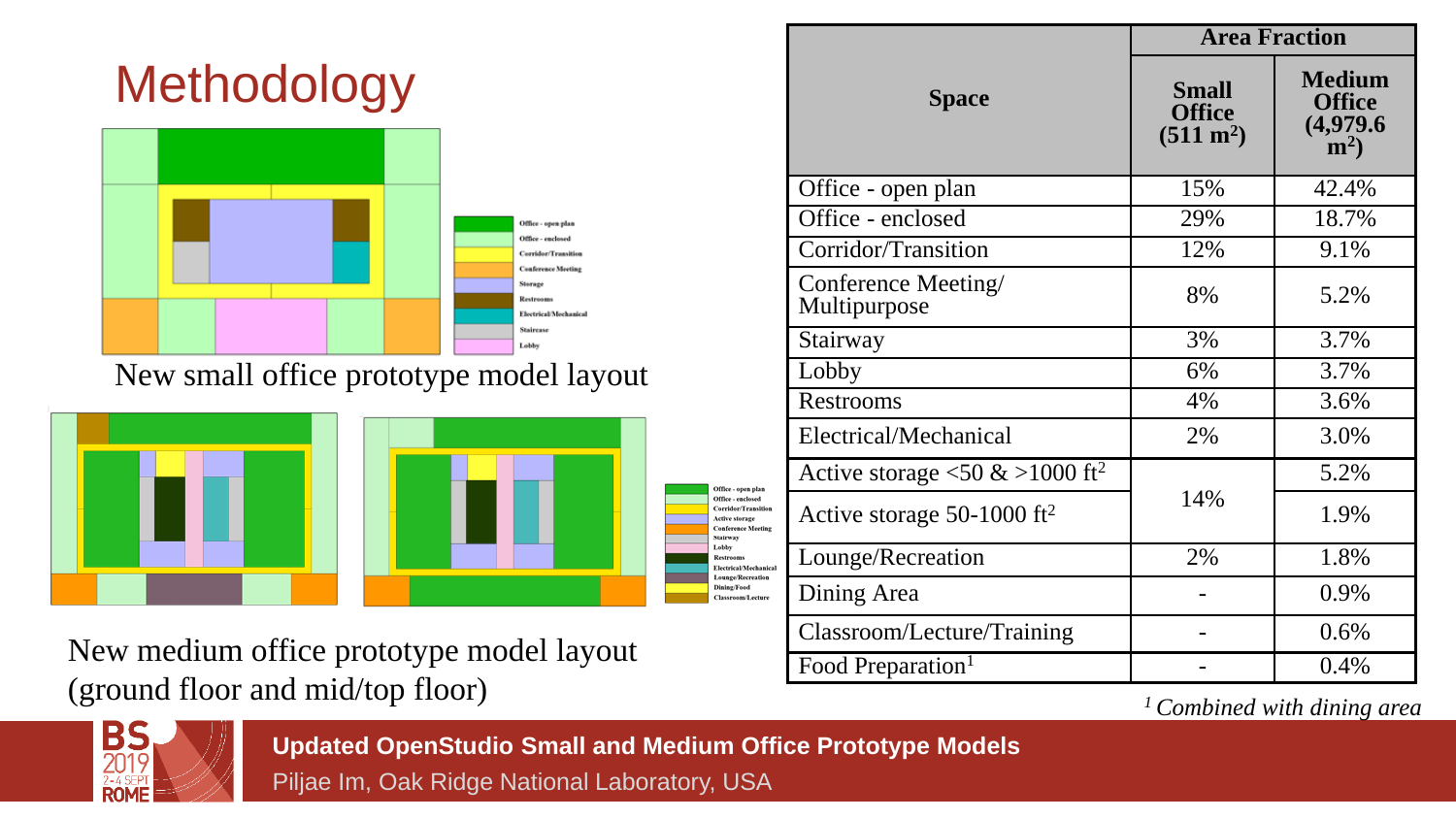

New small office prototype model layout



New medium office prototype model layout (ground floor and mid/top floor)

|                                                          | <b>Area Fraction</b>                                 |                                                           |  |  |
|----------------------------------------------------------|------------------------------------------------------|-----------------------------------------------------------|--|--|
| <b>Space</b>                                             | <b>Small</b><br><b>Office</b><br>$(511 \text{ m}^2)$ | <b>Medium</b><br><b>Office</b><br>(4,979.6)<br>$\rm(m^2)$ |  |  |
| Office - open plan                                       | 15%                                                  | 42.4%                                                     |  |  |
| Office - enclosed                                        | 29%                                                  | 18.7%                                                     |  |  |
| Corridor/Transition                                      | 12%                                                  | 9.1%                                                      |  |  |
| Conference Meeting/<br>Multipurpose                      | 8%                                                   | 5.2%                                                      |  |  |
| Stairway                                                 | 3%                                                   | 3.7%                                                      |  |  |
| Lobby                                                    | 6%                                                   | 3.7%                                                      |  |  |
| Restrooms                                                | 4%                                                   | 3.6%                                                      |  |  |
| Electrical/Mechanical                                    | 2%                                                   | 3.0%                                                      |  |  |
| Active storage $\langle 50 \& 1000 \text{ ft}^2 \rangle$ |                                                      | 5.2%                                                      |  |  |
| Active storage 50-1000 ft <sup>2</sup>                   | 14%                                                  | 1.9%                                                      |  |  |
| Lounge/Recreation                                        | 2%                                                   | 1.8%                                                      |  |  |
| Dining Area                                              |                                                      | 0.9%                                                      |  |  |
| Classroom/Lecture/Training                               |                                                      | 0.6%                                                      |  |  |
| Food Preparation <sup>1</sup>                            |                                                      | 0.4%                                                      |  |  |

*<sup>1</sup> Combined with dining area*



**Updated OpenStudio Small and Medium Office Prototype Models**

Office - open plan Office - enclosed Corridor/Transition Active storage **Conference Meeting** Stairway Lobby Restrooms Electrical/Mechanical Lounge/Recreation **Dining/Food** Classroom/Lecture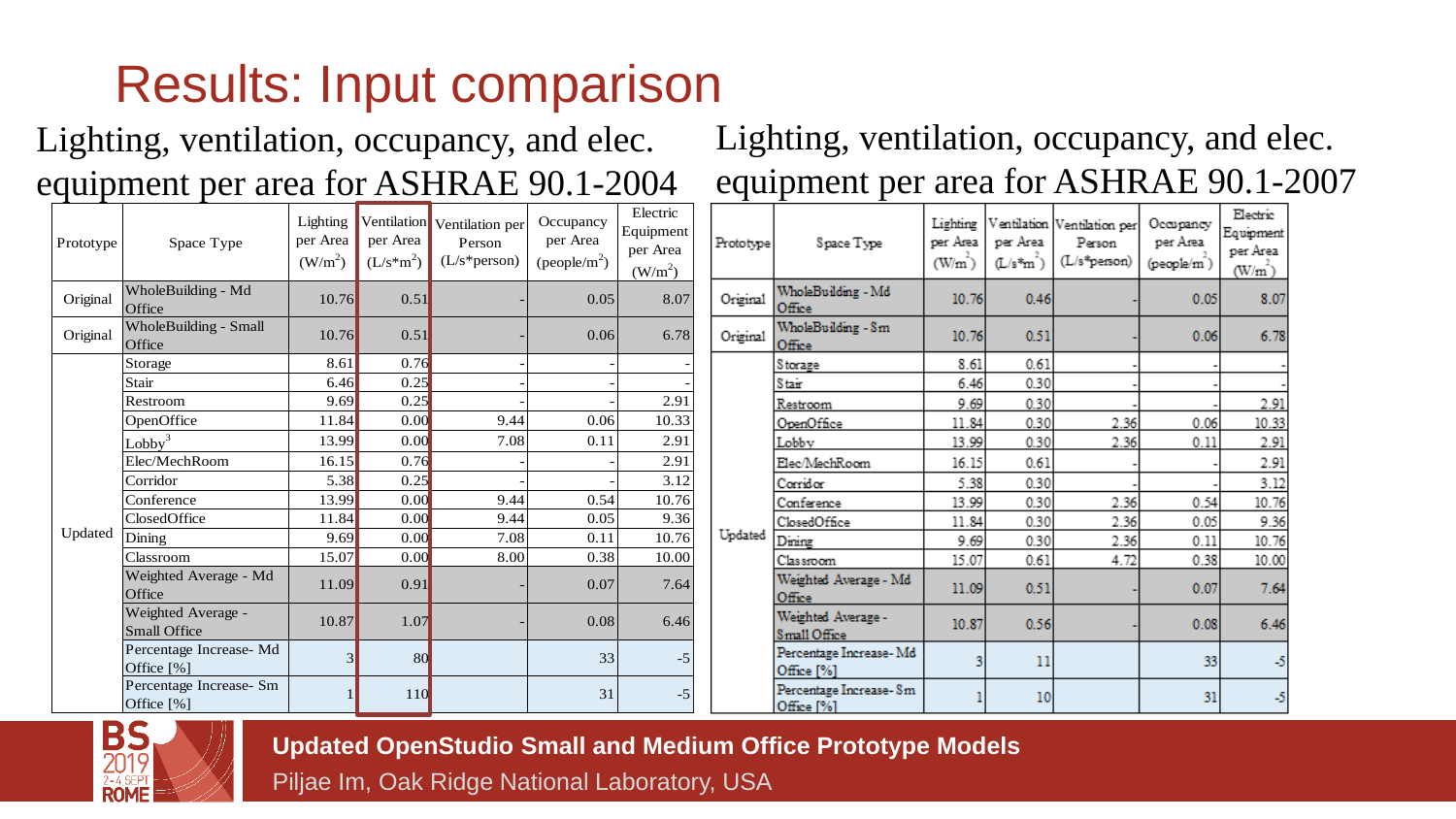### Results: Input comparison

#### Lighting, ventilation, occupancy, and elec. equipment per area for ASHRAE 90.1-2004

#### Lighting, ventilation, occupancy, and elec. equipment per area for ASHRAE 90.1-2007

| Prototype | Space Type                             | Lighting<br>per Area<br>(W/m <sup>2</sup> ) | per Area<br>$(L/s*m2)$ | Ventilation Ventilation per<br>Person<br>$(L/s*person)$ | Occupancy<br>per Area<br>(people/m <sup>2</sup> ) | Electric<br>Equipment<br>per Area<br>(W/m <sup>2</sup> ) |
|-----------|----------------------------------------|---------------------------------------------|------------------------|---------------------------------------------------------|---------------------------------------------------|----------------------------------------------------------|
| Original  | WholeBuilding - Md<br>Office           | 10.76                                       | 0.51                   |                                                         | 0.05                                              | 8.07                                                     |
| Original  | <b>WholeBuilding - Small</b><br>Office | 10.76                                       | 0.51                   |                                                         | 0.06                                              | 6.78                                                     |
|           | Storage                                | 8.61                                        | 0.76                   |                                                         |                                                   |                                                          |
|           | Stair                                  | 6.46                                        | 0.25                   |                                                         |                                                   |                                                          |
|           | Restroom                               | 9.69                                        | 0.25                   |                                                         |                                                   | 2.91                                                     |
|           | OpenOffice                             | 11.84                                       | 0.00                   | 9.44                                                    | 0.06                                              | 10.33                                                    |
|           | Lobby <sup>3</sup>                     | 13.99                                       | 0.00                   | 7.08                                                    | 0.11                                              | 2.91                                                     |
|           | Elec/MechRoom                          | 16.15                                       | 0.76                   |                                                         |                                                   | 2.91                                                     |
|           | Corridor                               | 5.38                                        | 0.25                   |                                                         |                                                   | 3.12                                                     |
|           | Conference                             | 13.99                                       | 0.00                   | 9.44                                                    | 0.54                                              | 10.76                                                    |
|           | ClosedOffice                           | 11.84                                       | 0.00                   | 9.44                                                    | 0.05                                              | 9.36                                                     |
| Updated   | Dining                                 | 9.69                                        | 0.00                   | 7.08                                                    | 0.11                                              | 10.76                                                    |
|           | Classroom                              | 15.07                                       | 0.00                   | 8.00                                                    | 0.38                                              | 10.00                                                    |
|           | Weighted Average - Md<br>Office        | 11.09                                       | 0.91                   |                                                         | 0.07                                              | 7.64                                                     |
|           | Weighted Average -<br>Small Office     | 10.87                                       | 1.07                   |                                                         | 0.08                                              | 6.46                                                     |
|           | Percentage Increase- Md<br>Office [%]  | $\overline{3}$                              | 80                     |                                                         | 33                                                | $-5$                                                     |
|           | Percentage Increase- Sm<br>Office [%]  |                                             | 110                    |                                                         | 31                                                | $-5$                                                     |

| Prototype | Space Type                            | Lighting<br>per Area<br>$(W/m^2)$ | per Area<br>$(L/s*m^2)$ | Ventilation Ventilation per<br>Person<br>(L/s*person) | Occupancy<br>per Area<br>(people/m) | Electric<br>Equipment<br>per Area<br>(W/m) |
|-----------|---------------------------------------|-----------------------------------|-------------------------|-------------------------------------------------------|-------------------------------------|--------------------------------------------|
| Original  | WholeBuilding - Md<br>Office          | 10.76                             | 0.46                    |                                                       | 0.05                                | 8.07                                       |
| Original  | WholeBuilding - Sm<br>Office          | 10.76                             | 0.51                    |                                                       | 0.06                                | 6.78                                       |
|           | <b>Storage</b>                        | 8.61                              | 0.61                    |                                                       |                                     |                                            |
|           | Stair                                 | 6.46                              | 0.30                    |                                                       |                                     |                                            |
|           | Restroom                              | 9.69                              | 0.30                    |                                                       |                                     | 2.91                                       |
|           | OpenOffice                            | 11.84                             | 0.30                    | 2.36                                                  | 0.06                                | 10.33                                      |
|           | Lobby                                 | 13.99                             | 0.30                    | 2.36                                                  | 0.11                                | 2.91                                       |
|           | Elec/MechRoom                         | 16.15                             | 0.61                    |                                                       |                                     | 2.91                                       |
|           | Corridor                              | 5.38                              | 0.30                    |                                                       |                                     | 3.12                                       |
|           | Conference                            | 13.99                             | 0.30                    | 2.36                                                  | 0.54                                | 10.76                                      |
|           | ClosedOffice                          | 11.84                             | 0.30                    | 2.36                                                  | 0.05                                | 9.36                                       |
| Updated   | Dining                                | 9.69                              | 0.30                    | 2.36                                                  | 0.11                                | 10.76                                      |
|           | Classroom                             | 15.07                             | 0.61                    | 4.72                                                  | 0.38                                | 10.00                                      |
|           | Weighted Average - Md<br>Office       | 11.09                             | 0.51                    |                                                       | 0.07                                | 7.64                                       |
|           | Weighted Average -<br>Small Office    | 10.87                             | 0.56                    |                                                       | 0.08                                | 6.46                                       |
|           | Percentage Increase-Md<br>Office [%]  | 3                                 | 11                      |                                                       | 33                                  | -5                                         |
|           | Percentage Increase- Sm<br>Office [%] |                                   | 10                      |                                                       | 31                                  | -5                                         |



**Updated OpenStudio Small and Medium Office Prototype Models**

 $Pr$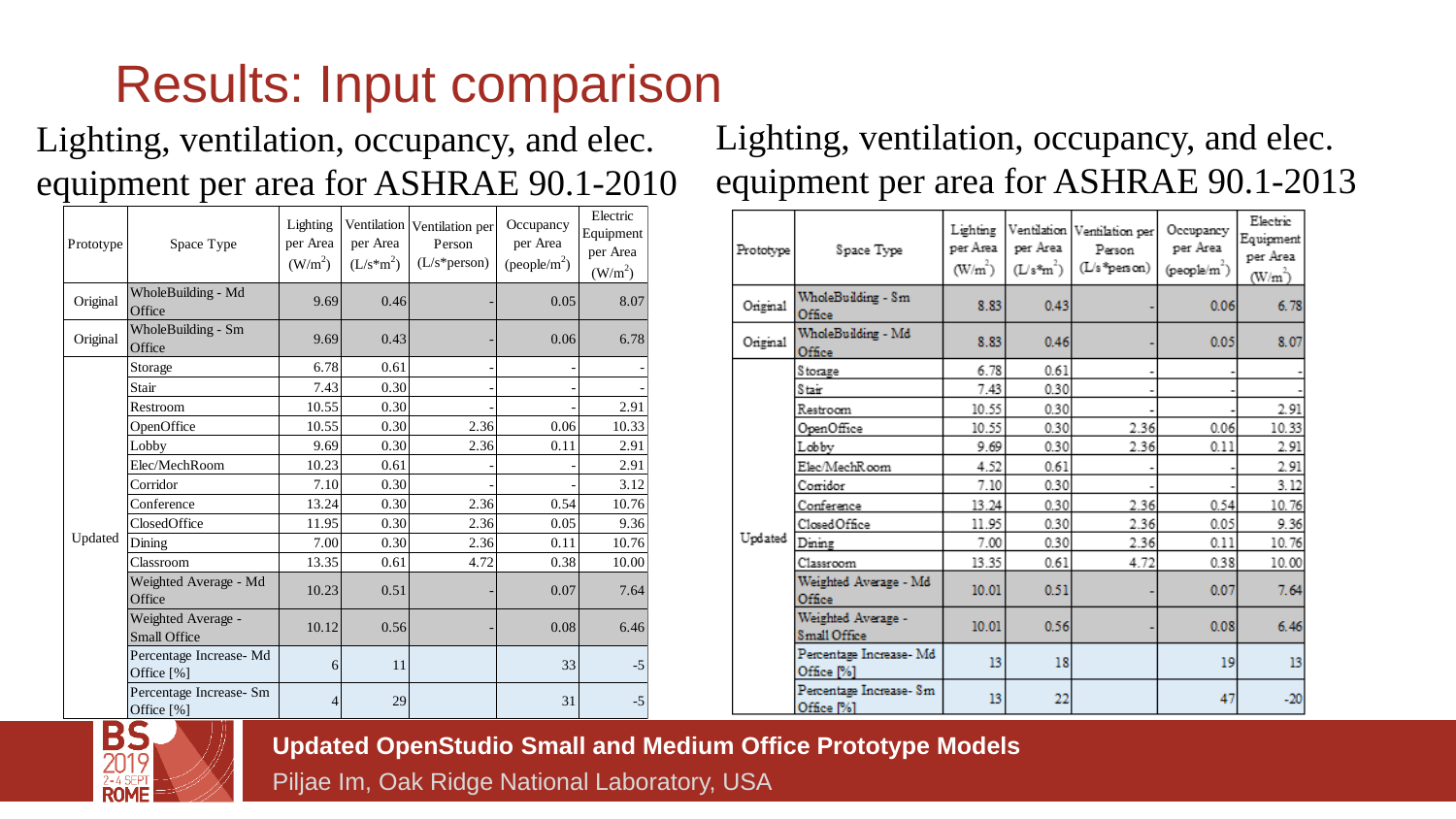## Results: Input comparison

#### Lighting, ventilation, occupancy, and elec. equipment per area for ASHRAE 90.1-2010

| Prototype | Space Type                                | Lighting<br>per Area<br>(W/m <sup>2</sup> ) | per Area<br>$(L/s*m2)$ | Ventilation Ventilation per<br>Person<br>$(L/s*person)$ | Occupancy<br>per Area<br>$(people/m^2)$ | Electric<br>Equipment<br>per Area<br>(W/m <sup>2</sup> ) |
|-----------|-------------------------------------------|---------------------------------------------|------------------------|---------------------------------------------------------|-----------------------------------------|----------------------------------------------------------|
| Original  | WholeBuilding - Md<br>Office              | 9.69                                        | 0.46                   |                                                         | 0.05                                    | 8.07                                                     |
| Original  | WholeBuilding - Sm<br>Office              | 9.69                                        | 0.43                   |                                                         | 0.06                                    | 6.78                                                     |
|           | Storage                                   | 6.78                                        | 0.61                   |                                                         |                                         |                                                          |
|           | Stair                                     | 7.43                                        | 0.30                   |                                                         |                                         |                                                          |
|           | Restroom                                  | 10.55                                       | 0.30                   |                                                         |                                         | 2.91                                                     |
|           | OpenOffice                                | 10.55                                       | 0.30                   | 2.36                                                    | 0.06                                    | 10.33                                                    |
|           | Lobby                                     | 9.69                                        | 0.30                   | 2.36                                                    | 0.11                                    | 2.91                                                     |
|           | Elec/MechRoom                             | 10.23                                       | 0.61                   |                                                         |                                         | 2.91                                                     |
|           | Corridor                                  | 7.10                                        | 0.30                   |                                                         |                                         | 3.12                                                     |
|           | Conference                                | 13.24                                       | 0.30                   | 2.36                                                    | 0.54                                    | 10.76                                                    |
|           | ClosedOffice                              | 11.95                                       | 0.30                   | 2.36                                                    | 0.05                                    | 9.36                                                     |
| Updated   | Dining                                    | 7.00                                        | 0.30                   | 2.36                                                    | 0.11                                    | 10.76                                                    |
|           | Classroom                                 | 13.35                                       | 0.61                   | 4.72                                                    | 0.38                                    | 10.00                                                    |
|           | Weighted Average - Md<br>Office           | 10.23                                       | 0.51                   |                                                         | 0.07                                    | 7.64                                                     |
|           | Weighted Average -<br><b>Small Office</b> | 10.12                                       | 0.56                   |                                                         | 0.08                                    | 6.46                                                     |
|           | Percentage Increase-Md<br>Office [%]      | 6                                           | 11                     |                                                         | 33                                      | $-5$                                                     |
|           | Percentage Increase- Sm<br>Office [%]     | 4                                           | 29                     |                                                         | 31                                      | $-5$                                                     |

#### Lighting, ventilation, occupancy, and elec. equipment per area for ASHRAE 90.1-2013

| Prototype | Space Type                            | Lighting<br>per Area<br>$(W/m^2)$ | per Area<br>$(L/s*m^2)$ | Ventilation Ventilation per<br>Person<br>(L/s*person) | Occupancy<br>per Area<br>(people/m^) | Electric<br>Equipment<br>per Area<br>(W/m) |
|-----------|---------------------------------------|-----------------------------------|-------------------------|-------------------------------------------------------|--------------------------------------|--------------------------------------------|
| Original  | WholeBuilding - Sm<br>Office          | 8.83                              | 0.43                    |                                                       | 0.06                                 | 6.78                                       |
| Original  | WholeBuilding - Md<br>Office          | 8.83                              | 0.46                    |                                                       | 0.05                                 | 8.07                                       |
|           | S torage                              | 6.78                              | 0.61                    |                                                       |                                      |                                            |
|           | Stair                                 | 7.43                              | 0.30                    |                                                       |                                      |                                            |
|           | Restroom                              | 10.55                             | 0.30                    |                                                       |                                      | 2.91                                       |
|           | OpenOffice                            | 10.55                             | 0.30                    | 2.36                                                  | 0.06                                 | 10.33                                      |
|           | Lobby                                 | 9.69                              | 0.30                    | 2.36                                                  | 0.11                                 | 2.91                                       |
|           | Elec/MechRoom                         | 4.52                              | 0.61                    |                                                       |                                      | 2.91                                       |
|           | Corridor                              | 7.10                              | 0.30                    |                                                       |                                      | 3.12                                       |
|           | Conference                            | 13.24                             | 0.30                    | 2.36                                                  | 0.54                                 | 10.76                                      |
|           | Closed Office                         | 11.95                             | 0.30                    | 2.36                                                  | 0.05                                 | 9.36                                       |
| Updated   | Dining                                | 7.00                              | 0.30                    | 2.36                                                  | 0.11                                 | 10.76                                      |
|           | Classroom                             | 13.35                             | 0.61                    | 4.72                                                  | 0.38                                 | 10.00                                      |
|           | Weighted Average - Md<br>Office       | 10.01                             | 0.51                    |                                                       | 0.07                                 | 7.64                                       |
|           | Weighted Average -<br>Small Office    | 10.01                             | 0.56                    |                                                       | 0.08                                 | 6.46                                       |
|           | Percentage Increase-Md<br>Office [%]  | 13                                | 18                      |                                                       | 19                                   | 13                                         |
|           | Percentage Increase- Sm<br>Office [%] | 13                                | 22                      |                                                       | 47                                   | $-20$                                      |



**Updated OpenStudio Small and Medium Office Prototype Models**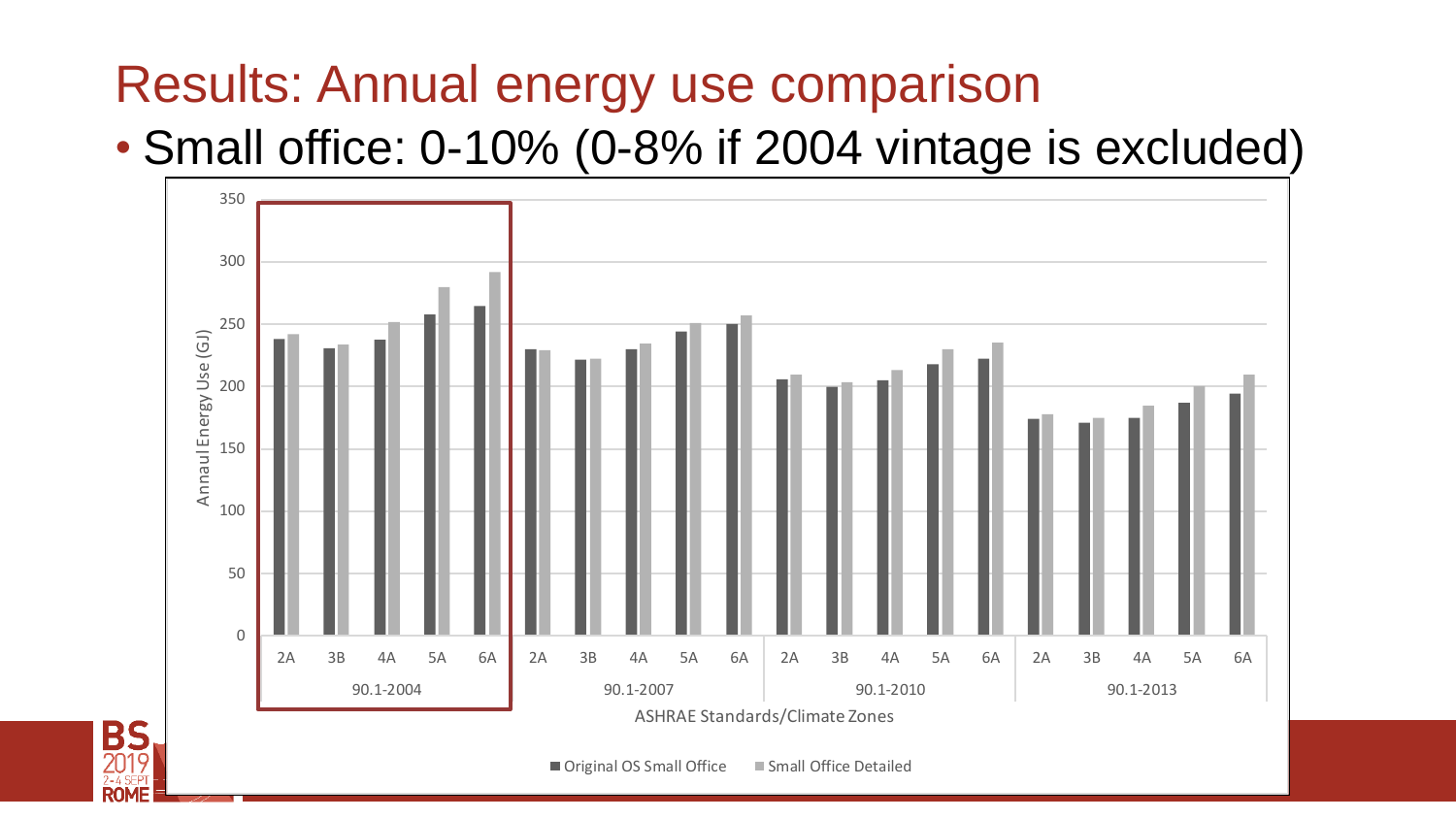#### Results: Annual energy use comparison

**BS**<br>2019

**ROME** 

#### • Small office: 0-10% (0-8% if 2004 vintage is excluded)

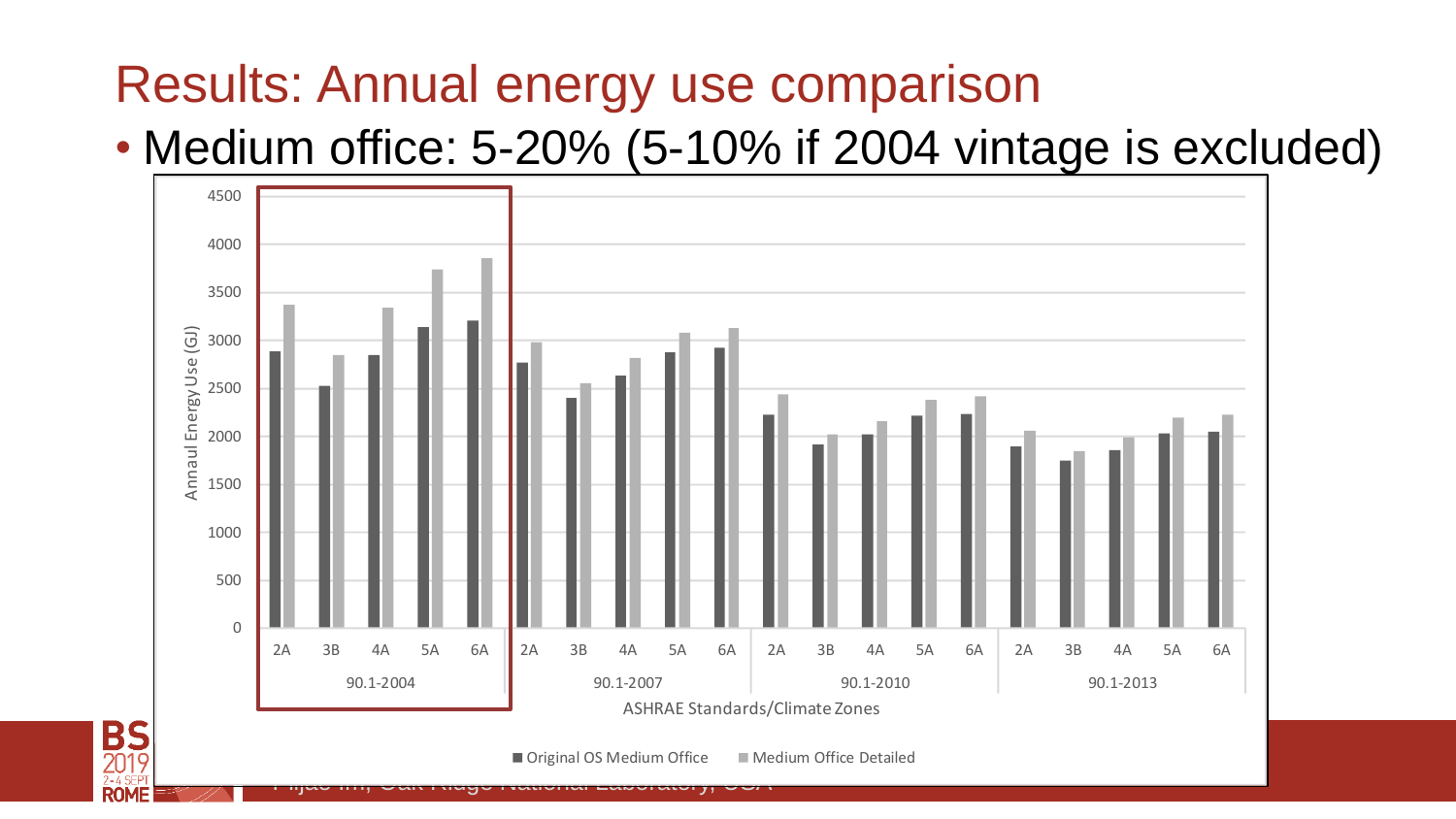#### Results: Annual energy use comparison

#### • Medium office: 5-20% (5-10% if 2004 vintage is excluded)



**BS**<br>2019

**ROMF**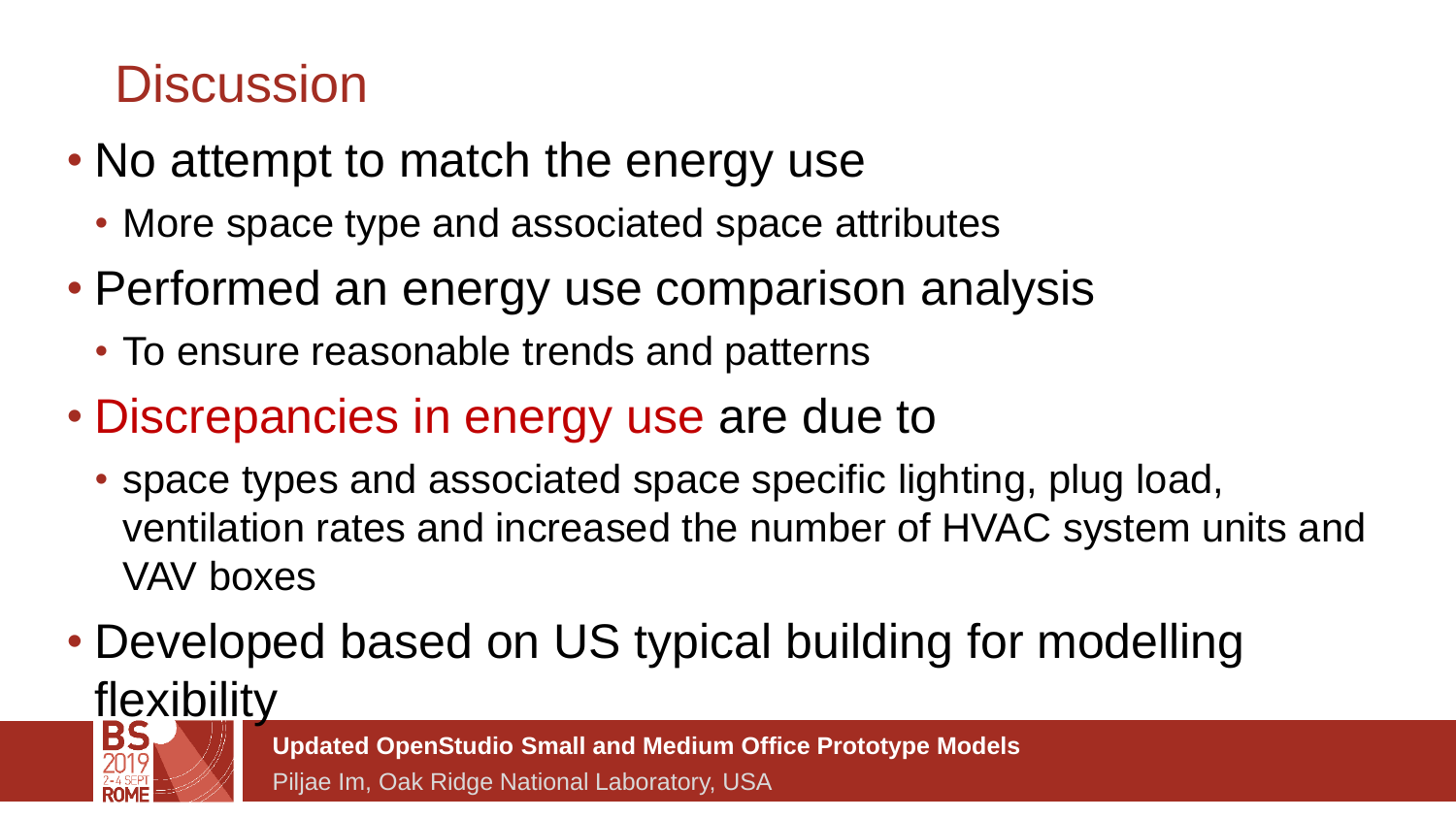### **Discussion**

- No attempt to match the energy use
	- More space type and associated space attributes
- Performed an energy use comparison analysis
	- To ensure reasonable trends and patterns
- Discrepancies in energy use are due to
	- space types and associated space specific lighting, plug load, ventilation rates and increased the number of HVAC system units and VAV boxes
- Developed based on US typical building for modelling flexibility<br>|BS*\_W*

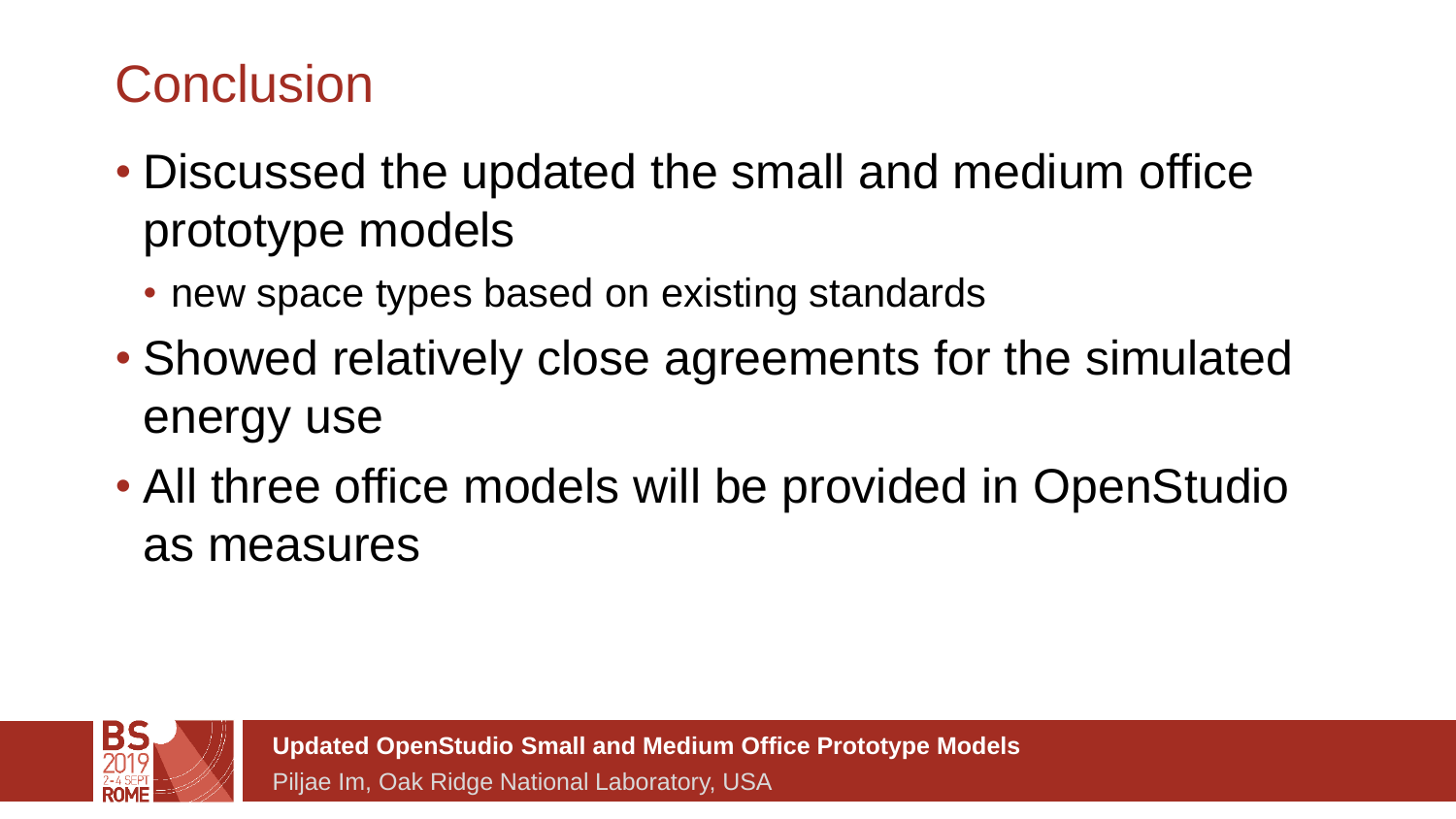### **Conclusion**

- Discussed the updated the small and medium office prototype models
	- new space types based on existing standards
- Showed relatively close agreements for the simulated energy use
- All three office models will be provided in OpenStudio as measures